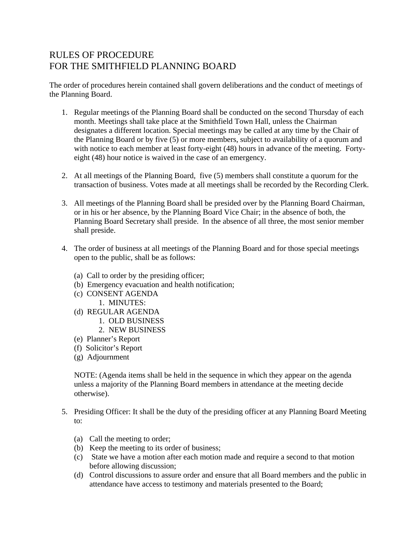## RULES OF PROCEDURE FOR THE SMITHFIELD PLANNING BOARD

The order of procedures herein contained shall govern deliberations and the conduct of meetings of the Planning Board.

- 1. Regular meetings of the Planning Board shall be conducted on the second Thursday of each month. Meetings shall take place at the Smithfield Town Hall, unless the Chairman designates a different location. Special meetings may be called at any time by the Chair of the Planning Board or by five (5) or more members, subject to availability of a quorum and with notice to each member at least forty-eight (48) hours in advance of the meeting. Fortyeight (48) hour notice is waived in the case of an emergency.
- 2. At all meetings of the Planning Board, five (5) members shall constitute a quorum for the transaction of business. Votes made at all meetings shall be recorded by the Recording Clerk.
- 3. All meetings of the Planning Board shall be presided over by the Planning Board Chairman, or in his or her absence, by the Planning Board Vice Chair; in the absence of both, the Planning Board Secretary shall preside. In the absence of all three, the most senior member shall preside.
- 4. The order of business at all meetings of the Planning Board and for those special meetings open to the public, shall be as follows:
	- (a) Call to order by the presiding officer;
	- (b) Emergency evacuation and health notification;
	- (c) CONSENT AGENDA 1. MINUTES:
	- (d) REGULAR AGENDA
		- 1. OLD BUSINESS
		- 2. NEW BUSINESS
	- (e) Planner's Report
	- (f) Solicitor's Report
	- (g) Adjournment

NOTE: (Agenda items shall be held in the sequence in which they appear on the agenda unless a majority of the Planning Board members in attendance at the meeting decide otherwise).

- 5. Presiding Officer: It shall be the duty of the presiding officer at any Planning Board Meeting to:
	- (a) Call the meeting to order;
	- (b) Keep the meeting to its order of business;
	- (c) State we have a motion after each motion made and require a second to that motion before allowing discussion;
	- (d) Control discussions to assure order and ensure that all Board members and the public in attendance have access to testimony and materials presented to the Board;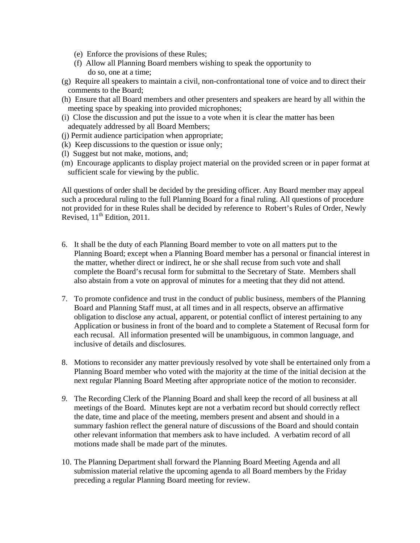- (e) Enforce the provisions of these Rules;
- (f) Allow all Planning Board members wishing to speak the opportunity to do so, one at a time;
- (g) Require all speakers to maintain a civil, non-confrontational tone of voice and to direct their comments to the Board;
- (h) Ensure that all Board members and other presenters and speakers are heard by all within the meeting space by speaking into provided microphones;
- (i) Close the discussion and put the issue to a vote when it is clear the matter has been adequately addressed by all Board Members;
- (j) Permit audience participation when appropriate;
- (k) Keep discussions to the question or issue only;
- (l) Suggest but not make, motions, and;
- (m) Encourage applicants to display project material on the provided screen or in paper format at sufficient scale for viewing by the public.

All questions of order shall be decided by the presiding officer. Any Board member may appeal such a procedural ruling to the full Planning Board for a final ruling. All questions of procedure not provided for in these Rules shall be decided by reference to Robert's Rules of Order, Newly Revised, 11<sup>th</sup> Edition, 2011.

- 6. It shall be the duty of each Planning Board member to vote on all matters put to the Planning Board; except when a Planning Board member has a personal or financial interest in the matter, whether direct or indirect, he or she shall recuse from such vote and shall complete the Board's recusal form for submittal to the Secretary of State. Members shall also abstain from a vote on approval of minutes for a meeting that they did not attend.
- 7. To promote confidence and trust in the conduct of public business, members of the Planning Board and Planning Staff must, at all times and in all respects, observe an affirmative obligation to disclose any actual, apparent, or potential conflict of interest pertaining to any Application or business in front of the board and to complete a Statement of Recusal form for each recusal. All information presented will be unambiguous, in common language, and inclusive of details and disclosures.
- 8. Motions to reconsider any matter previously resolved by vote shall be entertained only from a Planning Board member who voted with the majority at the time of the initial decision at the next regular Planning Board Meeting after appropriate notice of the motion to reconsider.
- *9.* The Recording Clerk of the Planning Board and shall keep the record of all business at all meetings of the Board. Minutes kept are not a verbatim record but should correctly reflect the date, time and place of the meeting, members present and absent and should in a summary fashion reflect the general nature of discussions of the Board and should contain other relevant information that members ask to have included. A verbatim record of all motions made shall be made part of the minutes.
- 10. The Planning Department shall forward the Planning Board Meeting Agenda and all submission material relative the upcoming agenda to all Board members by the Friday preceding a regular Planning Board meeting for review.